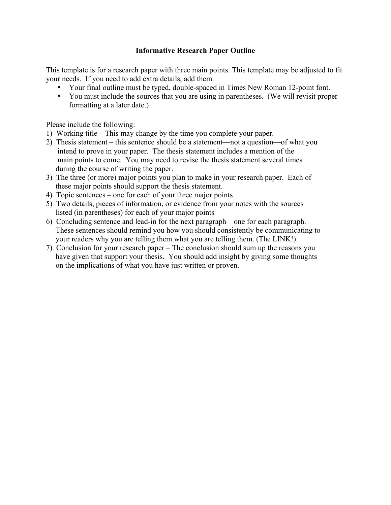## **Informative Research Paper Outline**

This template is for a research paper with three main points. This template may be adjusted to fit your needs. If you need to add extra details, add them.

- Your final outline must be typed, double-spaced in Times New Roman 12-point font.
- You must include the sources that you are using in parentheses. (We will revisit proper formatting at a later date.)

Please include the following:

- 1) Working title This may change by the time you complete your paper.
- 2) Thesis statement this sentence should be a statement—not a question—of what you intend to prove in your paper. The thesis statement includes a mention of the main points to come. You may need to revise the thesis statement several times during the course of writing the paper.
- 3) The three (or more) major points you plan to make in your research paper. Each of these major points should support the thesis statement.
- 4) Topic sentences one for each of your three major points
- 5) Two details, pieces of information, or evidence from your notes with the sources listed (in parentheses) for each of your major points
- 6) Concluding sentence and lead-in for the next paragraph one for each paragraph. These sentences should remind you how you should consistently be communicating to your readers why you are telling them what you are telling them. (The LINK!)
- 7) Conclusion for your research paper The conclusion should sum up the reasons you have given that support your thesis. You should add insight by giving some thoughts on the implications of what you have just written or proven.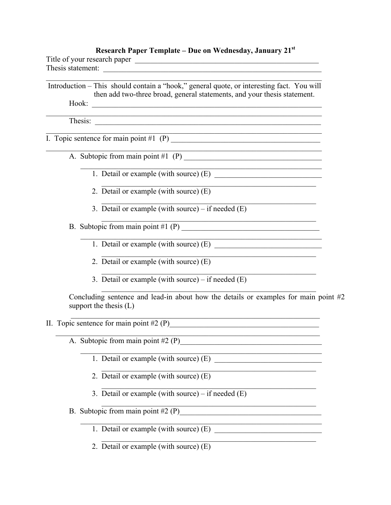## Research Paper Template – Due on Wednesday, January 21st

<u> 1989 - Johann John Stone, market fan it ferstjer fan it ferstjer fan it ferstjer fan it ferstjer fan it fers</u>

| Title of your research paper |  |
|------------------------------|--|
| Thesis statement:            |  |

 $m<sub>1</sub>$ 

Introduction – This should contain a "hook," general quote, or interesting fact. You will then add two-three broad, general statements, and your thesis statement. Hook:  $\qquad \qquad$ 

Thesis:

I. Topic sentence for main point  $#1$  (P)

- A. Subtopic from main point #1  $(P)$ 
	- 1. Detail or example (with source) (E)
	- 2. Detail or example (with source) (E)
	- 3. Detail or example (with source) if needed  $(E)$
- B. Subtopic from main point  $#1$  (P)
	- 1. Detail or example (with source) (E)
	- 2. Detail or example (with source) (E)
	- 3. Detail or example (with source) if needed  $(E)$

Concluding sentence and lead-in about how the details or examples for main point  $#2$ support the thesis  $(L)$ 

- II. Topic sentence for main point  $#2(P)$ 
	- A. Subtopic from main point  $#2(P)$ 
		- 1. Detail or example (with source) (E)
		- 2. Detail or example (with source)  $(E)$
		- 3. Detail or example (with source) if needed  $(E)$
	- B. Subtopic from main point  $#2(P)$ 
		- 1. Detail or example (with source) (E)
		- 2. Detail or example (with source)  $(E)$